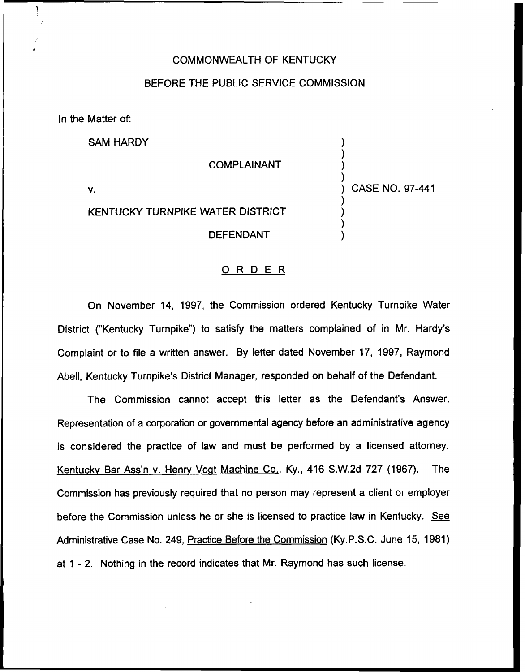## COMMONWEALTH OF KENTUCKY

#### BEFORE THE PUBLIC SERVICE COMMISSION

In the Matter of:

SAM HARDY

#### COMPLAINANT

V.

# KENTUCKY TURNPIKE WATER DISTRICT

DEFENDANT

) CASE NO. 97-441

) ) ) )

) ) ) )

### ORDER

On November 14, 1997, the Commission ordered Kentucky Turnpike Water District ("Kentucky Turnpike") to satisfy the matters complained of in Mr. Hardy' Complaint or to file a written answer. By letter dated November 17, 1997, Raymond Abell, Kentucky Turnpike's District Manager, responded on behalf of the Defendant.

The Commission cannot accept this letter as the Defendant's Answer. Representation of a corporation or governmental agency before an administrative agency is considered the practice of law and must be performed by a licensed attorney. Kentucky Bar Ass'n v. Henry Vogt Machine Co., Ky., 416 S.W.2d 727 (1967). The Commission has previously required that no person may represent a client or employer before the Commission unless he or she is licensed to practice law in Kentucky. See Administrative Case No. 249, Practice Before the Commission (Ky.P.S.C. June 15, 1981) at 1 - 2. Nothing in the record indicates that Mr. Raymond has such license